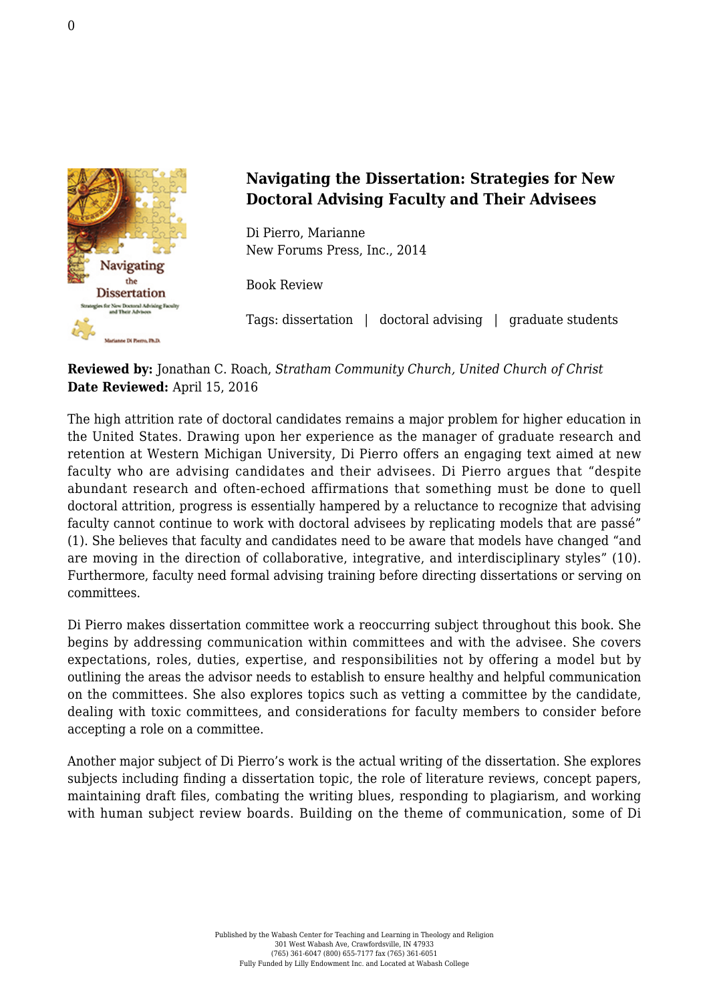

## **Navigating the Dissertation: Strategies for New Doctoral Advising Faculty and Their Advisees**

Di Pierro, Marianne [New Forums Press, Inc., 2014](http://newforums.com/our-titles/successful-faculty-development/scholarly-writing-publishing/navigating-dissertation/)

Book Review

Tags: dissertation | doctoral advising | graduate students

## **Reviewed by:** Jonathan C. Roach, *Stratham Community Church, United Church of Christ* **Date Reviewed:** April 15, 2016

The high attrition rate of doctoral candidates remains a major problem for higher education in the United States. Drawing upon her experience as the manager of graduate research and retention at Western Michigan University, Di Pierro offers an engaging text aimed at new faculty who are advising candidates and their advisees. Di Pierro argues that "despite abundant research and often-echoed affirmations that something must be done to quell doctoral attrition, progress is essentially hampered by a reluctance to recognize that advising faculty cannot continue to work with doctoral advisees by replicating models that are passé" (1). She believes that faculty and candidates need to be aware that models have changed "and are moving in the direction of collaborative, integrative, and interdisciplinary styles" (10). Furthermore, faculty need formal advising training before directing dissertations or serving on committees.

Di Pierro makes dissertation committee work a reoccurring subject throughout this book. She begins by addressing communication within committees and with the advisee. She covers expectations, roles, duties, expertise, and responsibilities not by offering a model but by outlining the areas the advisor needs to establish to ensure healthy and helpful communication on the committees. She also explores topics such as vetting a committee by the candidate, dealing with toxic committees, and considerations for faculty members to consider before accepting a role on a committee.

Another major subject of Di Pierro's work is the actual writing of the dissertation. She explores subjects including finding a dissertation topic, the role of literature reviews, concept papers, maintaining draft files, combating the writing blues, responding to plagiarism, and working with human subject review boards. Building on the theme of communication, some of Di